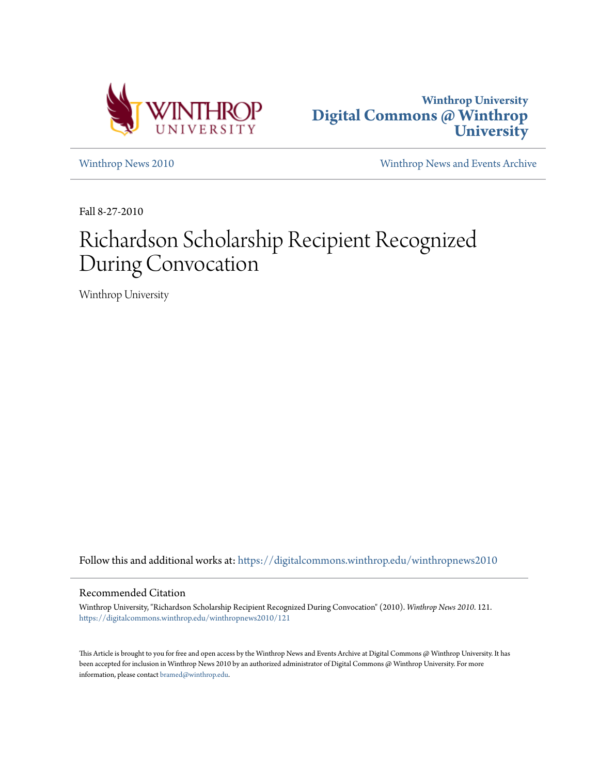



[Winthrop News 2010](https://digitalcommons.winthrop.edu/winthropnews2010?utm_source=digitalcommons.winthrop.edu%2Fwinthropnews2010%2F121&utm_medium=PDF&utm_campaign=PDFCoverPages) [Winthrop News and Events Archive](https://digitalcommons.winthrop.edu/winthropnewsarchives?utm_source=digitalcommons.winthrop.edu%2Fwinthropnews2010%2F121&utm_medium=PDF&utm_campaign=PDFCoverPages)

Fall 8-27-2010

## Richardson Scholarship Recipient Recognized During Convocation

Winthrop University

Follow this and additional works at: [https://digitalcommons.winthrop.edu/winthropnews2010](https://digitalcommons.winthrop.edu/winthropnews2010?utm_source=digitalcommons.winthrop.edu%2Fwinthropnews2010%2F121&utm_medium=PDF&utm_campaign=PDFCoverPages)

## Recommended Citation

Winthrop University, "Richardson Scholarship Recipient Recognized During Convocation" (2010). *Winthrop News 2010*. 121. [https://digitalcommons.winthrop.edu/winthropnews2010/121](https://digitalcommons.winthrop.edu/winthropnews2010/121?utm_source=digitalcommons.winthrop.edu%2Fwinthropnews2010%2F121&utm_medium=PDF&utm_campaign=PDFCoverPages)

This Article is brought to you for free and open access by the Winthrop News and Events Archive at Digital Commons @ Winthrop University. It has been accepted for inclusion in Winthrop News 2010 by an authorized administrator of Digital Commons @ Winthrop University. For more information, please contact [bramed@winthrop.edu](mailto:bramed@winthrop.edu).